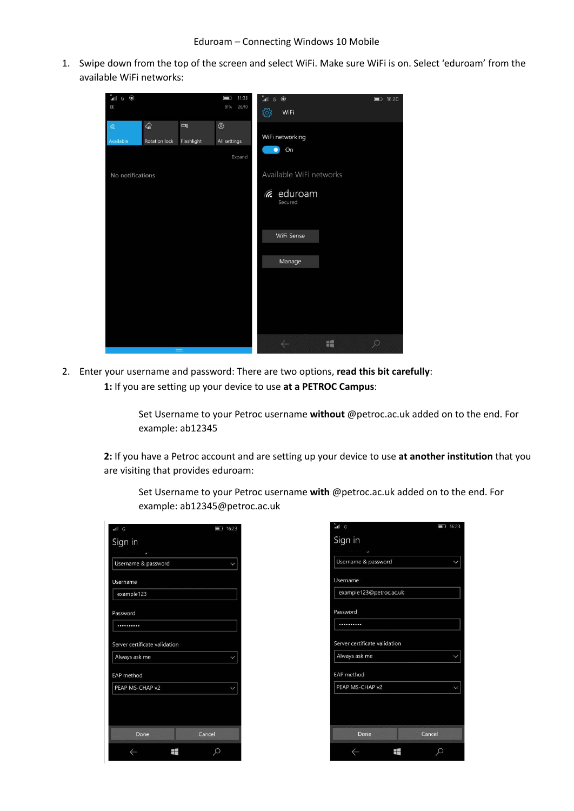1. Swipe down from the top of the screen and select WiFi. Make sure WiFi is on. Select 'eduroam' from the available WiFi networks:



2. Enter your username and password: There are two options, **read this bit carefully**: **1:** If you are setting up your device to use **at a PETROC Campus**:

> Set Username to your Petroc username **without** @petroc.ac.uk added on to the end. For example: ab12345

**2:** If you have a Petroc account and are setting up your device to use **at another institution** that you are visiting that provides eduroam:

| Set Username to your Petroc username with @petroc.ac.uk added on to the end. For |
|----------------------------------------------------------------------------------|
| example: ab12345@petroc.ac.uk                                                    |

| n<br>G                        |        | ■ 16:23 |
|-------------------------------|--------|---------|
| Sign in                       |        |         |
|                               |        |         |
| Username & password           |        |         |
| Username                      |        |         |
| example123                    |        |         |
| Password                      |        |         |
|                               |        |         |
| Server certificate validation |        |         |
| Always ask me                 |        |         |
| <b>EAP</b> method             |        |         |
| PEAP MS-CHAP v2               |        |         |
|                               |        |         |
| Done                          | Cancel |         |
|                               |        |         |

| ăil.<br>G                     | 16:23<br>C<br>٦ |
|-------------------------------|-----------------|
| Sign in                       |                 |
| Username & password           |                 |
| Username                      |                 |
| example123@petroc.ac.uk       |                 |
| Password                      |                 |
|                               |                 |
| Server certificate validation |                 |
| Always ask me                 |                 |
| <b>EAP</b> method             |                 |
| PEAP MS-CHAP v2               |                 |
|                               |                 |
|                               |                 |
| Cancel<br>Done                |                 |
|                               |                 |
|                               |                 |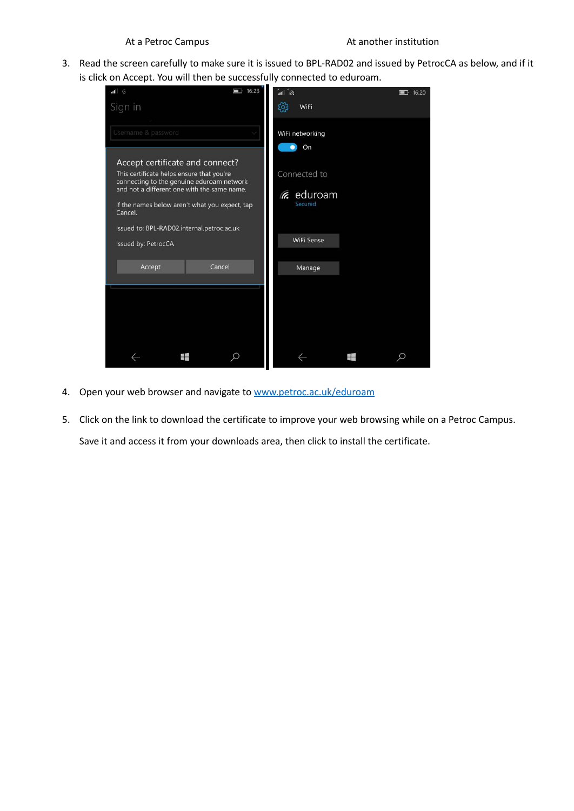## At a Petroc Campus At another institution

3. Read the screen carefully to make sure it is issued to BPL-RAD02 and issued by PetrocCA as below, and if it is click on Accept. You will then be successfully connected to eduroam.



- 4. Open your web browser and navigate to [www.petroc.ac.uk/eduroam](http://www.petroc.ac.uk/eduroam)
- 5. Click on the link to download the certificate to improve your web browsing while on a Petroc Campus. Save it and access it from your downloads area, then click to install the certificate.